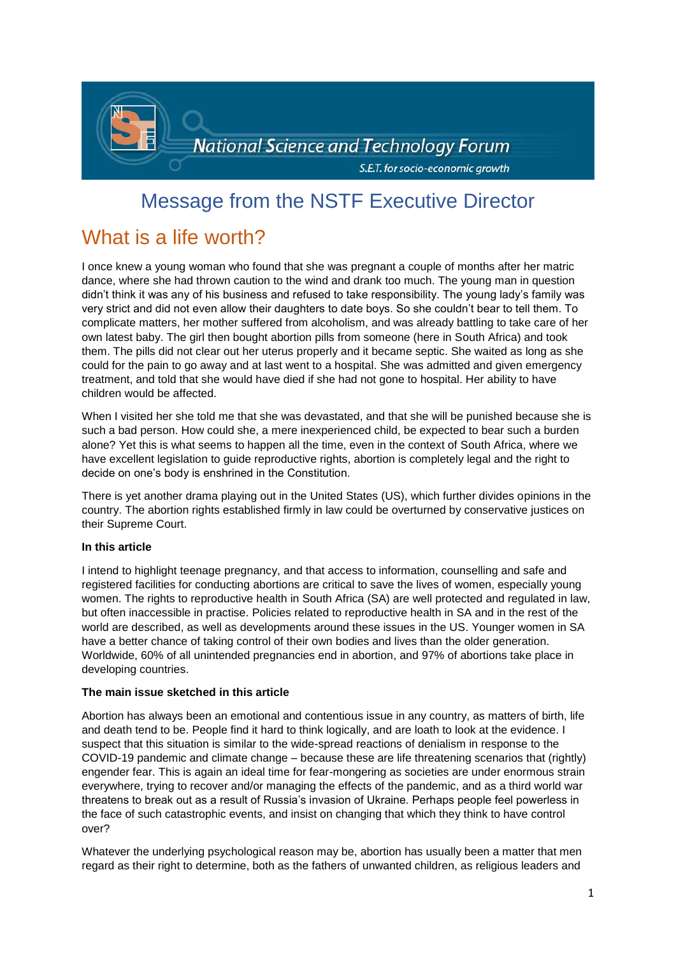

# Message from the NSTF Executive Director

# What is a life worth?

I once knew a young woman who found that she was pregnant a couple of months after her matric dance, where she had thrown caution to the wind and drank too much. The young man in question didn't think it was any of his business and refused to take responsibility. The young lady's family was very strict and did not even allow their daughters to date boys. So she couldn't bear to tell them. To complicate matters, her mother suffered from alcoholism, and was already battling to take care of her own latest baby. The girl then bought abortion pills from someone (here in South Africa) and took them. The pills did not clear out her uterus properly and it became septic. She waited as long as she could for the pain to go away and at last went to a hospital. She was admitted and given emergency treatment, and told that she would have died if she had not gone to hospital. Her ability to have children would be affected.

When I visited her she told me that she was devastated, and that she will be punished because she is such a bad person. How could she, a mere inexperienced child, be expected to bear such a burden alone? Yet this is what seems to happen all the time, even in the context of South Africa, where we have excellent legislation to guide reproductive rights, abortion is completely legal and the right to decide on one's body is enshrined in the Constitution.

There is yet another drama playing out in the United States (US), which further divides opinions in the country. The abortion rights established firmly in law could be overturned by conservative justices on their Supreme Court.

# **In this article**

I intend to highlight teenage pregnancy, and that access to information, counselling and safe and registered facilities for conducting abortions are critical to save the lives of women, especially young women. The rights to reproductive health in South Africa (SA) are well protected and regulated in law, but often inaccessible in practise. Policies related to reproductive health in SA and in the rest of the world are described, as well as developments around these issues in the US. Younger women in SA have a better chance of taking control of their own bodies and lives than the older generation. Worldwide, 60% of all unintended pregnancies end in abortion, and 97% of abortions take place in developing countries.

# **The main issue sketched in this article**

Abortion has always been an emotional and contentious issue in any country, as matters of birth, life and death tend to be. People find it hard to think logically, and are loath to look at the evidence. I suspect that this situation is similar to the wide-spread reactions of denialism in response to the COVID-19 pandemic and climate change – because these are life threatening scenarios that (rightly) engender fear. This is again an ideal time for fear-mongering as societies are under enormous strain everywhere, trying to recover and/or managing the effects of the pandemic, and as a third world war threatens to break out as a result of Russia's invasion of Ukraine. Perhaps people feel powerless in the face of such catastrophic events, and insist on changing that which they think to have control over?

Whatever the underlying psychological reason may be, abortion has usually been a matter that men regard as their right to determine, both as the fathers of unwanted children, as religious leaders and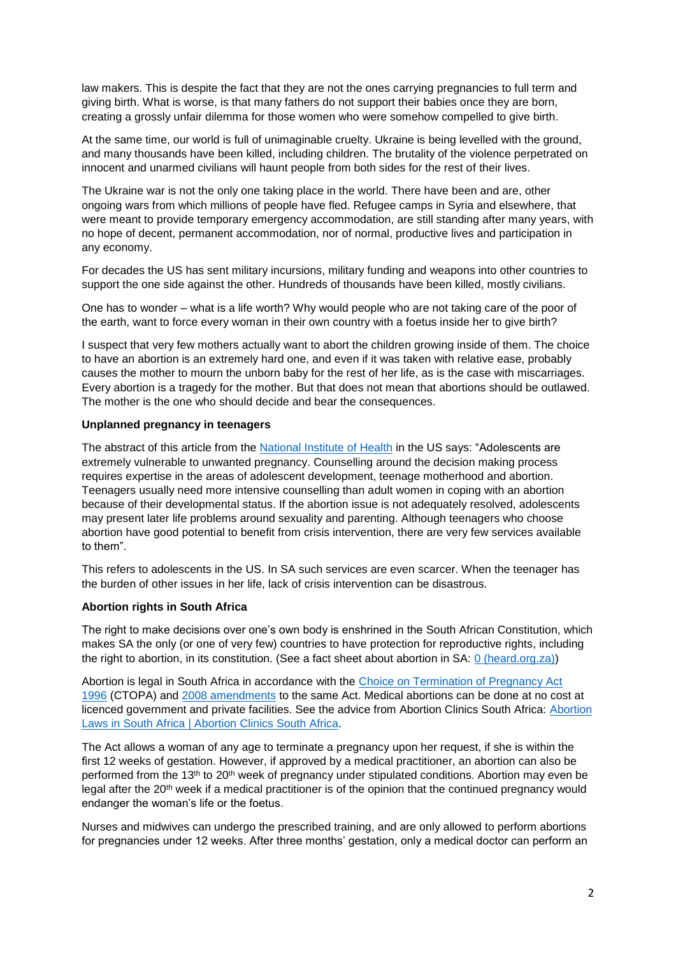law makers. This is despite the fact that they are not the ones carrying pregnancies to full term and giving birth. What is worse, is that many fathers do not support their babies once they are born, creating a grossly unfair dilemma for those women who were somehow compelled to give birth.

At the same time, our world is full of unimaginable cruelty. Ukraine is being levelled with the ground, and many thousands have been killed, including children. The brutality of the violence perpetrated on innocent and unarmed civilians will haunt people from both sides for the rest of their lives.

The Ukraine war is not the only one taking place in the world. There have been and are, other ongoing wars from which millions of people have fled. Refugee camps in Syria and elsewhere, that were meant to provide temporary emergency accommodation, are still standing after many years, with no hope of decent, permanent accommodation, nor of normal, productive lives and participation in any economy.

For decades the US has sent military incursions, military funding and weapons into other countries to support the one side against the other. Hundreds of thousands have been killed, mostly civilians.

One has to wonder – what is a life worth? Why would people who are not taking care of the poor of the earth, want to force every woman in their own country with a foetus inside her to give birth?

I suspect that very few mothers actually want to abort the children growing inside of them. The choice to have an abortion is an extremely hard one, and even if it was taken with relative ease, probably causes the mother to mourn the unborn baby for the rest of her life, as is the case with miscarriages. Every abortion is a tragedy for the mother. But that does not mean that abortions should be outlawed. The mother is the one who should decide and bear the consequences.

#### **Unplanned pregnancy in teenagers**

The abstract of this article from the [National Institute of Health](https://pubmed.ncbi.nlm.nih.gov/3433192/) in the US says: "Adolescents are extremely vulnerable to unwanted pregnancy. Counselling around the decision making process requires expertise in the areas of adolescent development, teenage motherhood and abortion. Teenagers usually need more intensive counselling than adult women in coping with an abortion because of their developmental status. If the abortion issue is not adequately resolved, adolescents may present later life problems around sexuality and parenting. Although teenagers who choose abortion have good potential to benefit from crisis intervention, there are very few services available to them".

This refers to adolescents in the US. In SA such services are even scarcer. When the teenager has the burden of other issues in her life, lack of crisis intervention can be disastrous.

# **Abortion rights in South Africa**

The right to make decisions over one's own body is enshrined in the South African Constitution, which makes SA the only (or one of very few) countries to have protection for reproductive rights, including the right to abortion, in its constitution. (See a fact sheet about abortion in SA: [0 \(heard.org.za\)\)](https://www.heard.org.za/wp-content/uploads/2016/06/south-africa-country-factsheet-abortion-20161.pdf)

Abortion is legal in South Africa in accordance with the [Choice on Termination of Pregnancy Act](https://www.parliament.gov.za/storage/app/media/ProjectsAndEvents/womens_month_2015/docs/Act92of1996.pdf)  [1996](https://www.parliament.gov.za/storage/app/media/ProjectsAndEvents/womens_month_2015/docs/Act92of1996.pdf) (CTOPA) and [2008 amendments](https://www.reproductiverights.org/sites/crr.civicactions.net/files/documents/South%20Africa%20-%20Choice%20on%20Termination%20of%20Pregnancy%20Amendment%202008.pdf) to the same Act. Medical abortions can be done at no cost at licenced government and private facilities. See the advice from Abortion Clinics South Africa: [Abortion](https://abortionclinicssouthafrica.co.za/abortion-laws-in-south-africa/)  [Laws in South Africa | Abortion Clinics South Africa.](https://abortionclinicssouthafrica.co.za/abortion-laws-in-south-africa/)

The Act allows a woman of any age to terminate a pregnancy upon her request, if she is within the first 12 weeks of gestation. However, if approved by a medical practitioner, an abortion can also be performed from the 13<sup>th</sup> to 20<sup>th</sup> week of pregnancy under stipulated conditions. Abortion may even be legal after the 20th week if a medical practitioner is of the opinion that the continued pregnancy would endanger the woman's life or the foetus.

Nurses and midwives can undergo the prescribed training, and are only allowed to perform abortions for pregnancies under 12 weeks. After three months' gestation, only a medical doctor can perform an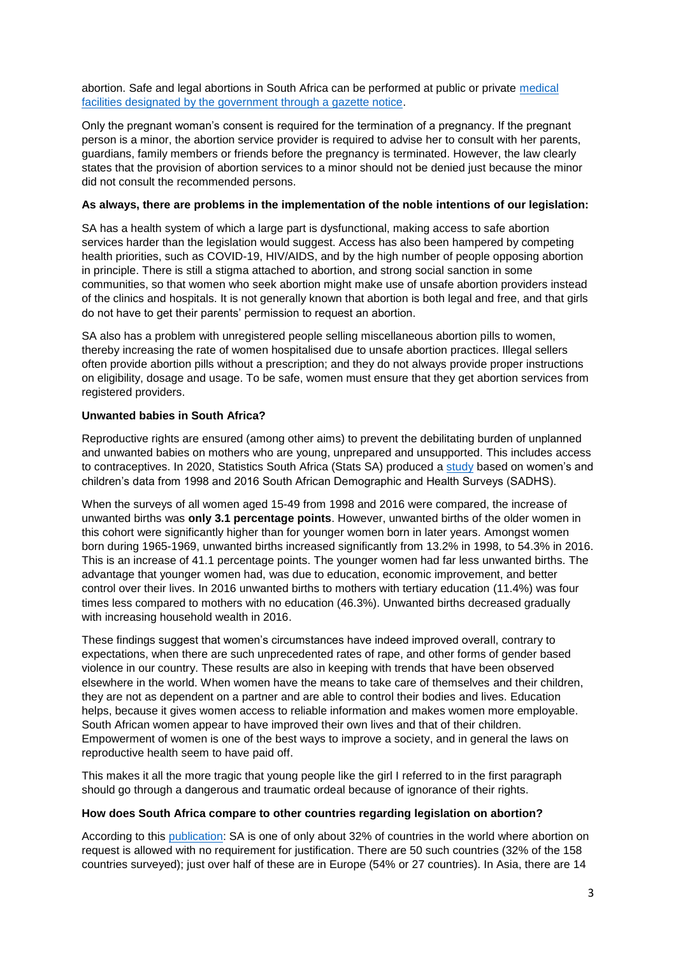abortion. Safe and legal abortions in South Africa can be performed at public or private [medical](https://www.w24.co.za/SelfCare/Wellness/Body/where-should-you-go-for-a-safe-abortion-in-south-africa-20190517)  [facilities designated by the government through a gazette notice.](https://www.w24.co.za/SelfCare/Wellness/Body/where-should-you-go-for-a-safe-abortion-in-south-africa-20190517)

Only the pregnant woman's consent is required for the termination of a pregnancy. If the pregnant person is a minor, the abortion service provider is required to advise her to consult with her parents, guardians, family members or friends before the pregnancy is terminated. However, the law clearly states that the provision of abortion services to a minor should not be denied just because the minor did not consult the recommended persons.

### **As always, there are problems in the implementation of the noble intentions of our legislation:**

SA has a health system of which a large part is dysfunctional, making access to safe abortion services harder than the legislation would suggest. Access has also been hampered by competing health priorities, such as COVID-19, HIV/AIDS, and by the high number of people opposing abortion in principle. There is still a stigma attached to abortion, and strong social sanction in some communities, so that women who seek abortion might make use of unsafe abortion providers instead of the clinics and hospitals. It is not generally known that abortion is both legal and free, and that girls do not have to get their parents' permission to request an abortion.

SA also has a problem with unregistered people selling miscellaneous abortion pills to women, thereby increasing the rate of women hospitalised due to unsafe abortion practices. Illegal sellers often provide abortion pills without a prescription; and they do not always provide proper instructions on eligibility, dosage and usage. To be safe, women must ensure that they get abortion services from registered providers.

# **Unwanted babies in South Africa?**

Reproductive rights are ensured (among other aims) to prevent the debilitating burden of unplanned and unwanted babies on mothers who are young, unprepared and unsupported. This includes access to contraceptives. In 2020, Statistics South Africa (Stats SA) produced a [study](http://www.statssa.gov.za/publications/Report-03-00-02/Report-03-00-022020.pdf) based on women's and children's data from 1998 and 2016 South African Demographic and Health Surveys (SADHS).

When the surveys of all women aged 15-49 from 1998 and 2016 were compared, the increase of unwanted births was **only 3.1 percentage points**. However, unwanted births of the older women in this cohort were significantly higher than for younger women born in later years. Amongst women born during 1965-1969, unwanted births increased significantly from 13.2% in 1998, to 54.3% in 2016. This is an increase of 41.1 percentage points. The younger women had far less unwanted births. The advantage that younger women had, was due to education, economic improvement, and better control over their lives. In 2016 unwanted births to mothers with tertiary education (11.4%) was four times less compared to mothers with no education (46.3%). Unwanted births decreased gradually with increasing household wealth in 2016.

These findings suggest that women's circumstances have indeed improved overall, contrary to expectations, when there are such unprecedented rates of rape, and other forms of gender based violence in our country. These results are also in keeping with trends that have been observed elsewhere in the world. When women have the means to take care of themselves and their children, they are not as dependent on a partner and are able to control their bodies and lives. Education helps, because it gives women access to reliable information and makes women more employable. South African women appear to have improved their own lives and that of their children. Empowerment of women is one of the best ways to improve a society, and in general the laws on reproductive health seem to have paid off.

This makes it all the more tragic that young people like the girl I referred to in the first paragraph should go through a dangerous and traumatic ordeal because of ignorance of their rights.

# **How does South Africa compare to other countries regarding legislation on abortion?**

According to this [publication:](https://abortion-policies.srhr.org/documents/reference/Legal-categories-of-lawful-abortion.pdf) SA is one of only about 32% of countries in the world where abortion on request is allowed with no requirement for justification. There are 50 such countries (32% of the 158 countries surveyed); just over half of these are in Europe (54% or 27 countries). In Asia, there are 14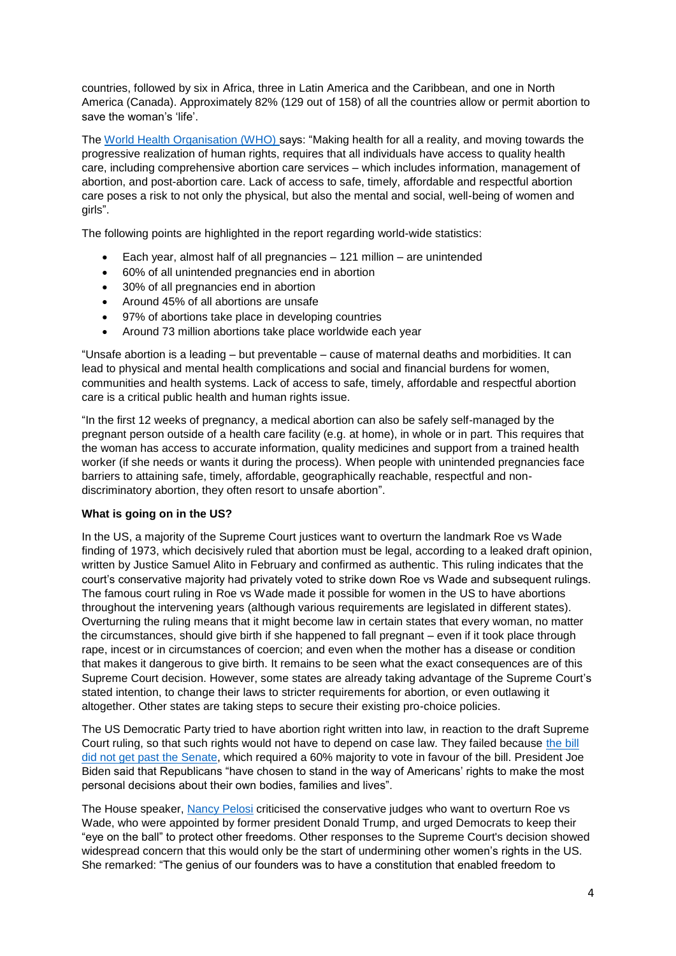countries, followed by six in Africa, three in Latin America and the Caribbean, and one in North America (Canada). Approximately 82% (129 out of 158) of all the countries allow or permit abortion to save the woman's 'life'.

The [World Health Organisation \(WHO\) s](https://www.who.int/news-room/fact-sheets/detail/abortion)ays: "Making health for all a reality, and moving towards the progressive realization of human rights, requires that all individuals have access to quality health care, including comprehensive abortion care services – which includes information, management of abortion, and post-abortion care. Lack of access to safe, timely, affordable and respectful abortion care poses a risk to not only the physical, but also the mental and social, well-being of women and girls".

The following points are highlighted in the report regarding world-wide statistics:

- Each year, almost half of all pregnancies 121 million are unintended
- 60% of all unintended pregnancies end in abortion
- 30% of all pregnancies end in abortion
- Around 45% of all abortions are unsafe
- 97% of abortions take place in developing countries
- Around 73 million abortions take place worldwide each year

"Unsafe abortion is a leading – but preventable – cause of maternal deaths and morbidities. It can lead to physical and mental health complications and social and financial burdens for women, communities and health systems. Lack of access to safe, timely, affordable and respectful abortion care is a critical public health and human rights issue.

"In the first 12 weeks of pregnancy, a medical abortion can also be safely self-managed by the pregnant person outside of a health care facility (e.g. at home), in whole or in part. This requires that the woman has access to accurate information, quality medicines and support from a trained health worker (if she needs or wants it during the process). When people with unintended pregnancies face barriers to attaining safe, timely, affordable, geographically reachable, respectful and nondiscriminatory abortion, they often resort to unsafe abortion".

#### **What is going on in the US?**

In the US, a majority of the Supreme Court justices want to overturn the landmark Roe vs Wade finding of 1973, which decisively ruled that abortion must be legal, according to a leaked draft opinion, written by Justice Samuel Alito in February and confirmed as authentic. This ruling indicates that the court's conservative majority had privately voted to strike down Roe vs Wade and subsequent rulings. The famous court ruling in Roe vs Wade made it possible for women in the US to have abortions throughout the intervening years (although various requirements are legislated in different states). Overturning the ruling means that it might become law in certain states that every woman, no matter the circumstances, should give birth if she happened to fall pregnant – even if it took place through rape, incest or in circumstances of coercion; and even when the mother has a disease or condition that makes it dangerous to give birth. It remains to be seen what the exact consequences are of this Supreme Court decision. However, some states are already taking advantage of the Supreme Court's stated intention, to change their laws to stricter requirements for abortion, or even outlawing it altogether. Other states are taking steps to secure their existing pro-choice policies.

The US Democratic Party tried to have abortion right written into law, in reaction to the draft Supreme Court ruling, so that such rights would not have to depend on case law. They failed because [the bill](file:///C:/Users/User/Downloads/Democrats%20lose%20Senate%20vote%20to%20codify%20abortion%20rights%20into%20federal%20law%20|%20US%20Senate%20|%20The%20Guardian)  [did not get past the Senate,](file:///C:/Users/User/Downloads/Democrats%20lose%20Senate%20vote%20to%20codify%20abortion%20rights%20into%20federal%20law%20|%20US%20Senate%20|%20The%20Guardian) which required a 60% majority to vote in favour of the bill. President Joe Biden said that Republicans "have chosen to stand in the way of Americans' rights to make the most personal decisions about their own bodies, families and lives".

The House speaker, [Nancy Pelosi](file:///C:/Users/User/Downloads/Nancy%20Pelosi:%20supreme%20court%20‘dangerous%20to%20families%20and%20to%20freedoms’%20|%20US%20supreme%20court%20|%20The%20Guardian) criticised the conservative judges who want to overturn Roe vs Wade, who were appointed by former president Donald Trump, and urged Democrats to keep their "eye on the ball" to protect other freedoms. Other responses to the Supreme Court's decision showed widespread concern that this would only be the start of undermining other women's rights in the US. She remarked: "The genius of our founders was to have a constitution that enabled freedom to